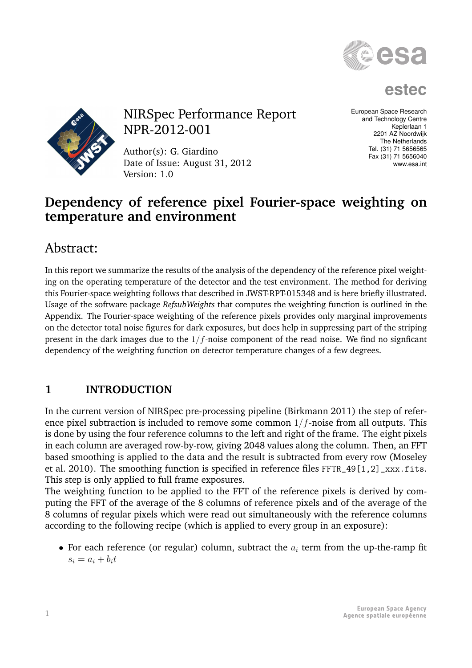

**estec**



NIRSpec Performance Report NPR-2012-001

Author(s): G. Giardino Date of Issue: August 31, 2012 Version: 1.0

European Space Research and Technology Centre Keplerlaan 1 2201 AZ Noordwijk The Netherlands Tel. (31) 71 5656565 Fax (31) 71 5656040 www.esa.int

## **Dependency of reference pixel Fourier-space weighting on temperature and environment**

# Abstract:

In this report we summarize the results of the analysis of the dependency of the reference pixel weighting on the operating temperature of the detector and the test environment. The method for deriving this Fourier-space weighting follows that described in JWST-RPT-015348 and is here briefly illustrated. Usage of the software package *RefsubWeights* that computes the weighting function is outlined in the Appendix. The Fourier-space weighting of the reference pixels provides only marginal improvements on the detector total noise figures for dark exposures, but does help in suppressing part of the striping present in the dark images due to the  $1/f$ -noise component of the read noise. We find no signficant dependency of the weighting function on detector temperature changes of a few degrees.

## **1 INTRODUCTION**

In the current version of NIRSpec pre-processing pipeline (Birkmann 2011) the step of reference pixel subtraction is included to remove some common  $1/f$ -noise from all outputs. This is done by using the four reference columns to the left and right of the frame. The eight pixels in each column are averaged row-by-row, giving 2048 values along the column. Then, an FFT based smoothing is applied to the data and the result is subtracted from every row (Moseley et al. 2010). The smoothing function is specified in reference files FFTR\_49[1,2]\_xxx.fits. This step is only applied to full frame exposures.

The weighting function to be applied to the FFT of the reference pixels is derived by computing the FFT of the average of the 8 columns of reference pixels and of the average of the 8 columns of regular pixels which were read out simultaneously with the reference columns according to the following recipe (which is applied to every group in an exposure):

• For each reference (or regular) column, subtract the  $a_i$  term from the up-the-ramp fit  $s_i = a_i + b_i t$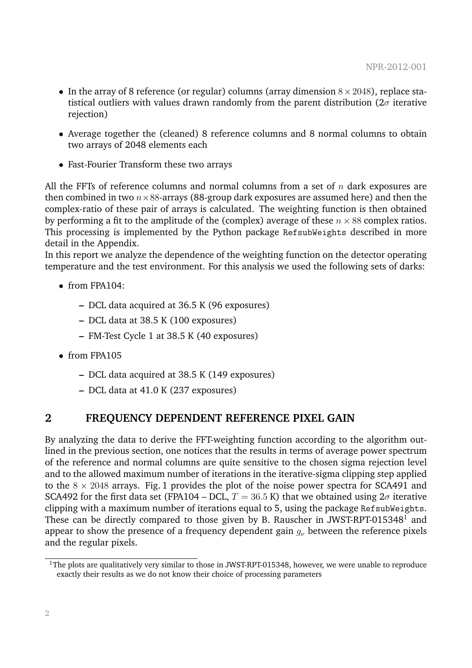- In the array of 8 reference (or regular) columns (array dimension  $8 \times 2048$ ), replace statistical outliers with values drawn randomly from the parent distribution ( $2\sigma$  iterative rejection)
- Average together the (cleaned) 8 reference columns and 8 normal columns to obtain two arrays of 2048 elements each
- Fast-Fourier Transform these two arrays

All the FFTs of reference columns and normal columns from a set of  $n$  dark exposures are then combined in two  $n \times 88$ -arrays (88-group dark exposures are assumed here) and then the complex-ratio of these pair of arrays is calculated. The weighting function is then obtained by performing a fit to the amplitude of the (complex) average of these  $n \times 88$  complex ratios. This processing is implemented by the Python package RefsubWeights described in more detail in the Appendix.

In this report we analyze the dependence of the weighting function on the detector operating temperature and the test environment. For this analysis we used the following sets of darks:

- $\bullet$  from FPA104:
	- **–** DCL data acquired at 36.5 K (96 exposures)
	- **–** DCL data at 38.5 K (100 exposures)
	- **–** FM-Test Cycle 1 at 38.5 K (40 exposures)
- from FPA105
	- **–** DCL data acquired at 38.5 K (149 exposures)
	- **–** DCL data at 41.0 K (237 exposures)

### **2 FREQUENCY DEPENDENT REFERENCE PIXEL GAIN**

By analyzing the data to derive the FFT-weighting function according to the algorithm outlined in the previous section, one notices that the results in terms of average power spectrum of the reference and normal columns are quite sensitive to the chosen sigma rejection level and to the allowed maximum number of iterations in the iterative-sigma clipping step applied to the  $8 \times 2048$  arrays. Fig. 1 provides the plot of the noise power spectra for SCA491 and SCA492 for the first data set (FPA104 – DCL,  $T = 36.5$  K) that we obtained using  $2\sigma$  iterative clipping with a maximum number of iterations equal to 5, using the package RefsubWeights. These can be directly compared to those given by B. Rauscher in JWST-RPT-015348<sup>1</sup> and appear to show the presence of a frequency dependent gain  $g_{\nu}$  between the reference pixels and the regular pixels.

<sup>&</sup>lt;sup>1</sup>The plots are qualitatively very similar to those in JWST-RPT-015348, however, we were unable to reproduce exactly their results as we do not know their choice of processing parameters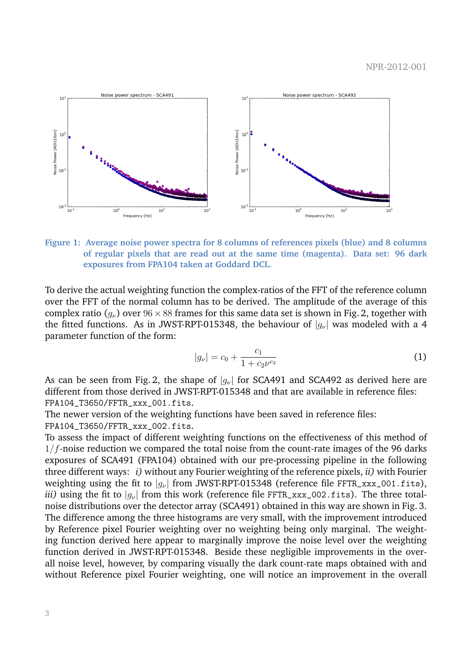

**Figure 1: Average noise power spectra for 8 columns of references pixels (blue) and 8 columns of regular pixels that are read out at the same time (magenta). Data set: 96 dark exposures from FPA104 taken at Goddard DCL.**

To derive the actual weighting function the complex-ratios of the FFT of the reference column over the FFT of the normal column has to be derived. The amplitude of the average of this complex ratio ( $q_{\nu}$ ) over  $96 \times 88$  frames for this same data set is shown in Fig. 2, together with the fitted functions. As in JWST-RPT-015348, the behaviour of  $|g_{\nu}|$  was modeled with a 4 parameter function of the form:

$$
|g_{\nu}| = c_0 + \frac{c_1}{1 + c_2 \nu^{c_3}} \tag{1}
$$

As can be seen from Fig. 2, the shape of  $|q_{\nu}|$  for SCA491 and SCA492 as derived here are different from those derived in JWST-RPT-015348 and that are available in reference files: FPA104\_T3650/FFTR\_xxx\_001.fits.

The newer version of the weighting functions have been saved in reference files: FPA104\_T3650/FFTR\_xxx\_002.fits.

To assess the impact of different weighting functions on the effectiveness of this method of  $1/f$ -noise reduction we compared the total noise from the count-rate images of the 96 darks exposures of SCA491 (FPA104) obtained with our pre-processing pipeline in the following three different ways: *i)* without any Fourier weighting of the reference pixels, *ii)* with Fourier weighting using the fit to  $|q_{\nu}|$  from JWST-RPT-015348 (reference file FFTR\_xxx\_001.fits), *iii)* using the fit to  $|q_{\nu}|$  from this work (reference file FFTR\_xxx\_002.fits). The three totalnoise distributions over the detector array (SCA491) obtained in this way are shown in Fig. 3. The difference among the three histograms are very small, with the improvement introduced by Reference pixel Fourier weighting over no weighting being only marginal. The weighting function derived here appear to marginally improve the noise level over the weighting function derived in JWST-RPT-015348. Beside these negligible improvements in the overall noise level, however, by comparing visually the dark count-rate maps obtained with and without Reference pixel Fourier weighting, one will notice an improvement in the overall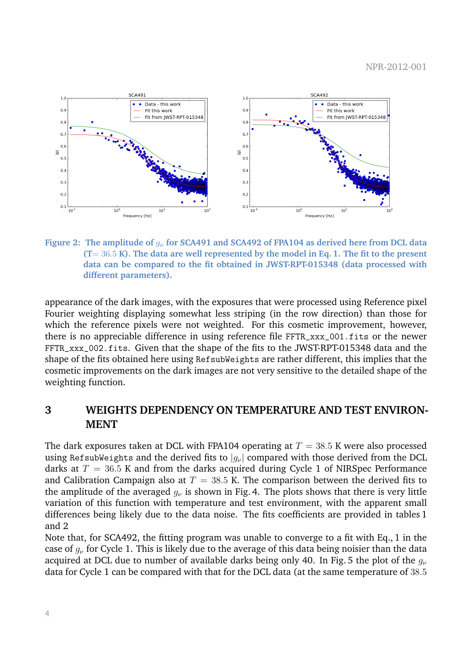

**Figure 2:** The amplitude of  $q_{\nu}$  for SCA491 and SCA492 of FPA104 as derived here from DCL data **(T**= 36.5 **K). The data are well represented by the model in Eq. 1. The fit to the present data can be compared to the fit obtained in JWST-RPT-015348 (data processed with different parameters).**

appearance of the dark images, with the exposures that were processed using Reference pixel Fourier weighting displaying somewhat less striping (in the row direction) than those for which the reference pixels were not weighted. For this cosmetic improvement, however, there is no appreciable difference in using reference file FFTR\_xxx\_001.fits or the newer FFTR\_xxx\_002.fits. Given that the shape of the fits to the JWST-RPT-015348 data and the shape of the fits obtained here using RefsubWeights are rather different, this implies that the cosmetic improvements on the dark images are not very sensitive to the detailed shape of the weighting function.

## **3 WEIGHTS DEPENDENCY ON TEMPERATURE AND TEST ENVIRON-MENT**

The dark exposures taken at DCL with FPA104 operating at  $T = 38.5$  K were also processed using RefsubWeights and the derived fits to  $|q_{\nu}|$  compared with those derived from the DCL darks at  $T = 36.5$  K and from the darks acquired during Cycle 1 of NIRSpec Performance and Calibration Campaign also at  $T = 38.5$  K. The comparison between the derived fits to the amplitude of the averaged  $q_{\nu}$  is shown in Fig. 4. The plots shows that there is very little variation of this function with temperature and test environment, with the apparent small differences being likely due to the data noise. The fits coefficients are provided in tables 1 and 2

Note that, for SCA492, the fitting program was unable to converge to a fit with Eq., 1 in the case of  $q_{\nu}$  for Cycle 1. This is likely due to the average of this data being noisier than the data acquired at DCL due to number of available darks being only 40. In Fig. 5 the plot of the  $q_{\nu}$ data for Cycle 1 can be compared with that for the DCL data (at the same temperature of 38.5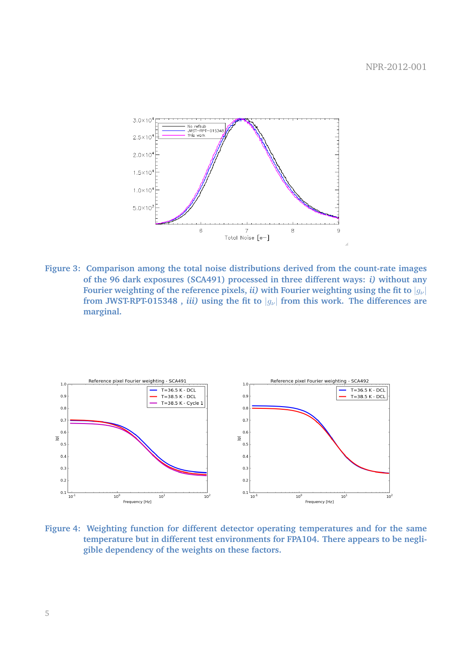

**Figure 3: Comparison among the total noise distributions derived from the count-rate images of the 96 dark exposures (SCA491) processed in three different ways:** *i)* **without any Fourier weighting of the reference pixels,** *ii***) with Fourier weighting using the fit to**  $|q_{\nu}|$ from JWST-RPT-015348, *iii*) using the fit to  $|q_{\nu}|$  from this work. The differences are **marginal.**



**Figure 4: Weighting function for different detector operating temperatures and for the same temperature but in different test environments for FPA104. There appears to be negligible dependency of the weights on these factors.**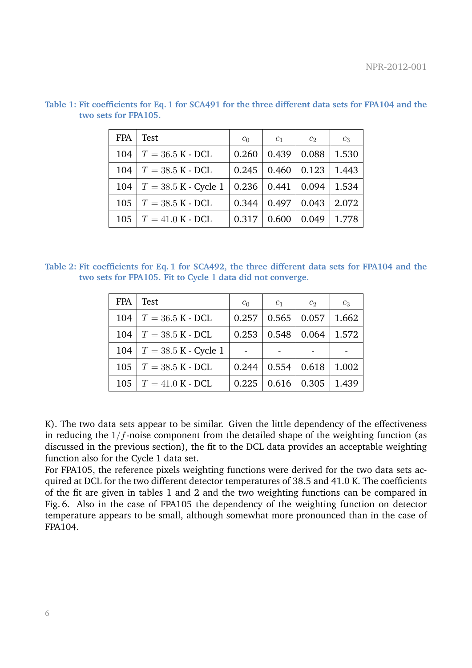| <b>FPA</b> | <b>Test</b>                | $c_0$ | $c_1$ | c <sub>2</sub> | $c_3$ |
|------------|----------------------------|-------|-------|----------------|-------|
| 104        | $T = 36.5$ K - DCL         | 0.260 | 0.439 | 0.088          | 1.530 |
| 104        | $T = 38.5$ K - DCL         | 0.245 | 0.460 | 0.123          | 1.443 |
| 104        | $T = 38.5 K - Cycle 1$     | 0.236 | 0.441 | 0.094          | 1.534 |
| 105        | $T = 38.5$ K - DCL         | 0.344 | 0.497 | 0.043          | 2.072 |
| 105        | $T = 41.0 \text{ K}$ - DCL | 0.317 | 0.600 | 0.049          | 1.778 |

**Table 1: Fit coefficients for Eq. 1 for SCA491 for the three different data sets for FPA104 and the two sets for FPA105.**

**Table 2: Fit coefficients for Eq. 1 for SCA492, the three different data sets for FPA104 and the two sets for FPA105. Fit to Cycle 1 data did not converge.**

| <b>FPA</b> | Test                         | c <sub>0</sub> | $c_1$ | c <sub>2</sub> | $c_3$ |
|------------|------------------------------|----------------|-------|----------------|-------|
| 104        | $T = 36.5 K - DCL$           | 0.257          | 0.565 | 0.057          | 1.662 |
| 104        | $T = 38.5 K - DCL$           | 0.253          | 0.548 | 0.064          | 1.572 |
|            | 104   $T = 38.5$ K - Cycle 1 |                |       |                |       |
| 105        | $T = 38.5$ K - DCL           | 0.244          | 0.554 | 0.618          | 1.002 |
| 105        | $T = 41.0 \text{ K}$ - DCL   | 0.225          | 0.616 | 0.305          | 1.439 |

K). The two data sets appear to be similar. Given the little dependency of the effectiveness in reducing the  $1/f$ -noise component from the detailed shape of the weighting function (as discussed in the previous section), the fit to the DCL data provides an acceptable weighting function also for the Cycle 1 data set.

For FPA105, the reference pixels weighting functions were derived for the two data sets acquired at DCL for the two different detector temperatures of 38.5 and 41.0 K. The coefficients of the fit are given in tables 1 and 2 and the two weighting functions can be compared in Fig. 6. Also in the case of FPA105 the dependency of the weighting function on detector temperature appears to be small, although somewhat more pronounced than in the case of FPA104.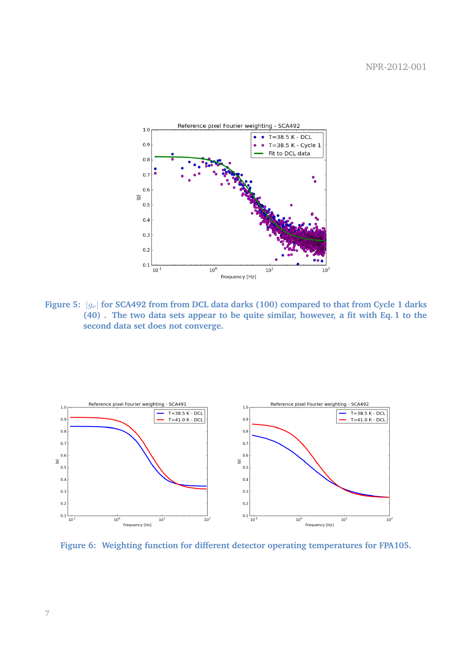

**Figure 5:**  $|g_{\nu}|$  for SCA492 from from DCL data darks (100) compared to that from Cycle 1 darks **(40) . The two data sets appear to be quite similar, however, a fit with Eq. 1 to the second data set does not converge.**



**Figure 6: Weighting function for different detector operating temperatures for FPA105.**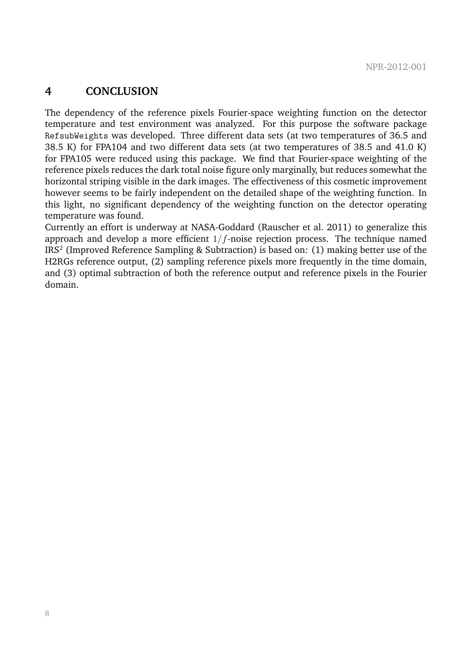### **4 CONCLUSION**

The dependency of the reference pixels Fourier-space weighting function on the detector temperature and test environment was analyzed. For this purpose the software package RefsubWeights was developed. Three different data sets (at two temperatures of 36.5 and 38.5 K) for FPA104 and two different data sets (at two temperatures of 38.5 and 41.0 K) for FPA105 were reduced using this package. We find that Fourier-space weighting of the reference pixels reduces the dark total noise figure only marginally, but reduces somewhat the horizontal striping visible in the dark images. The effectiveness of this cosmetic improvement however seems to be fairly independent on the detailed shape of the weighting function. In this light, no significant dependency of the weighting function on the detector operating temperature was found.

Currently an effort is underway at NASA-Goddard (Rauscher et al. 2011) to generalize this approach and develop a more efficient  $1/f$ -noise rejection process. The technique named IRS<sup>2</sup> (Improved Reference Sampling & Subtraction) is based on: (1) making better use of the H2RGs reference output, (2) sampling reference pixels more frequently in the time domain, and (3) optimal subtraction of both the reference output and reference pixels in the Fourier domain.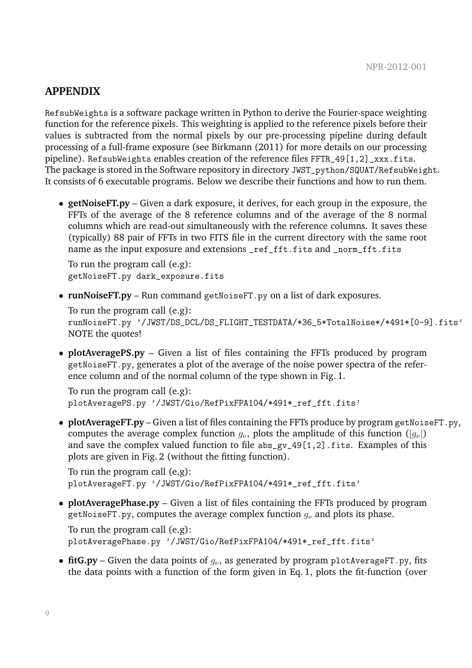#### **APPENDIX**

RefsubWeights is a software package written in Python to derive the Fourier-space weighting function for the reference pixels. This weighting is applied to the reference pixels before their values is subtracted from the normal pixels by our pre-processing pipeline during default processing of a full-frame exposure (see Birkmann (2011) for more details on our processing pipeline). RefsubWeights enables creation of the reference files FFTR\_49[1,2]\_xxx.fits. The package is stored in the Software repository in directory JWST\_python/SQUAT/RefsubWeight. It consists of 6 executable programs. Below we describe their functions and how to run them.

• **getNoiseFT.py** – Given a dark exposure, it derives, for each group in the exposure, the FFTs of the average of the 8 reference columns and of the average of the 8 normal columns which are read-out simultaneously with the reference columns. It saves these (typically) 88 pair of FFTs in two FITS file in the current directory with the same root name as the input exposure and extensions \_ref\_fft.fits and \_norm\_fft.fits

To run the program call (e.g): getNoiseFT.py dark\_exposure.fits

• **runNoiseFT.py** – Run command getNoiseFT.py on a list of dark exposures.

To run the program call (e.g): runNoiseFT.py '/JWST/DS\_DCL/DS\_FLIGHT\_TESTDATA/\*36\_5\*TotalNoise\*/\*491\*[0-9].fits' NOTE the quotes!

• **plotAveragePS.py** – Given a list of files containing the FFTs produced by program getNoiseFT.py, generates a plot of the average of the noise power spectra of the reference column and of the normal column of the type shown in Fig. 1.

To run the program call (e.g): plotAveragePS.py '/JWST/Gio/RefPixFPA104/\*491\*\_ref\_fft.fits'

• **plotAverageFT.py** – Given a list of files containing the FFTs produce by program getNoiseFT.py, computes the average complex function  $q_{\nu}$ , plots the amplitude of this function  $(|q_{\nu}|)$ and save the complex valued function to file abs\_gv\_49[1,2].fits. Examples of this plots are given in Fig. 2 (without the fitting function).

To run the program call (e.g): plotAverageFT.py '/JWST/Gio/RefPixFPA104/\*491\*\_ref\_fft.fits'

• **plotAveragePhase.py** – Given a list of files containing the FFTs produced by program getNoiseFT.py, computes the average complex function  $g_{\nu}$  and plots its phase.

To run the program call (e.g): plotAveragePhase.py '/JWST/Gio/RefPixFPA104/\*491\*\_ref\_fft.fits'

• **fitG.py** – Given the data points of  $q_{\nu}$ , as generated by program plotAverageFT.py, fits the data points with a function of the form given in Eq. 1, plots the fit-function (over